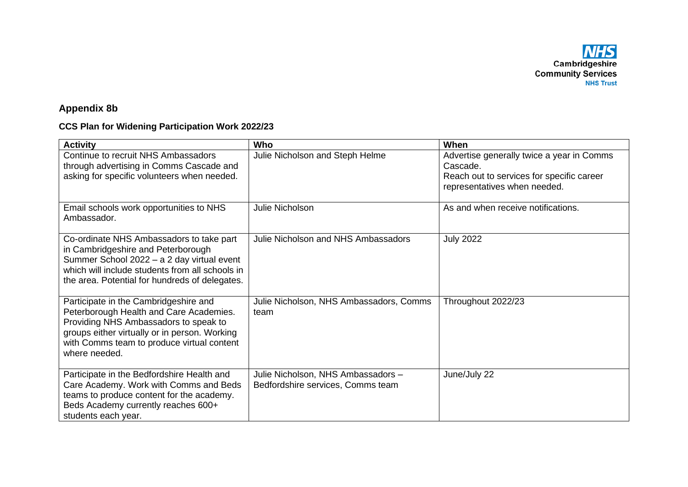**NHS**<br>Cambridgeshire **Community Services**<br>NHS Trust

## **Appendix 8b**

## **CCS Plan for Widening Participation Work 2022/23**

| <b>Activity</b>                                                                                                                                                                                                                           | Who                                                                     | When                                                                                                                               |
|-------------------------------------------------------------------------------------------------------------------------------------------------------------------------------------------------------------------------------------------|-------------------------------------------------------------------------|------------------------------------------------------------------------------------------------------------------------------------|
| Continue to recruit NHS Ambassadors<br>through advertising in Comms Cascade and<br>asking for specific volunteers when needed.                                                                                                            | Julie Nicholson and Steph Helme                                         | Advertise generally twice a year in Comms<br>Cascade.<br>Reach out to services for specific career<br>representatives when needed. |
| Email schools work opportunities to NHS<br>Ambassador.                                                                                                                                                                                    | Julie Nicholson                                                         | As and when receive notifications.                                                                                                 |
| Co-ordinate NHS Ambassadors to take part<br>in Cambridgeshire and Peterborough<br>Summer School 2022 - a 2 day virtual event<br>which will include students from all schools in<br>the area. Potential for hundreds of delegates.         | Julie Nicholson and NHS Ambassadors                                     | <b>July 2022</b>                                                                                                                   |
| Participate in the Cambridgeshire and<br>Peterborough Health and Care Academies.<br>Providing NHS Ambassadors to speak to<br>groups either virtually or in person. Working<br>with Comms team to produce virtual content<br>where needed. | Julie Nicholson, NHS Ambassadors, Comms<br>team                         | Throughout 2022/23                                                                                                                 |
| Participate in the Bedfordshire Health and<br>Care Academy. Work with Comms and Beds<br>teams to produce content for the academy.<br>Beds Academy currently reaches 600+<br>students each year.                                           | Julie Nicholson, NHS Ambassadors -<br>Bedfordshire services, Comms team | June/July 22                                                                                                                       |